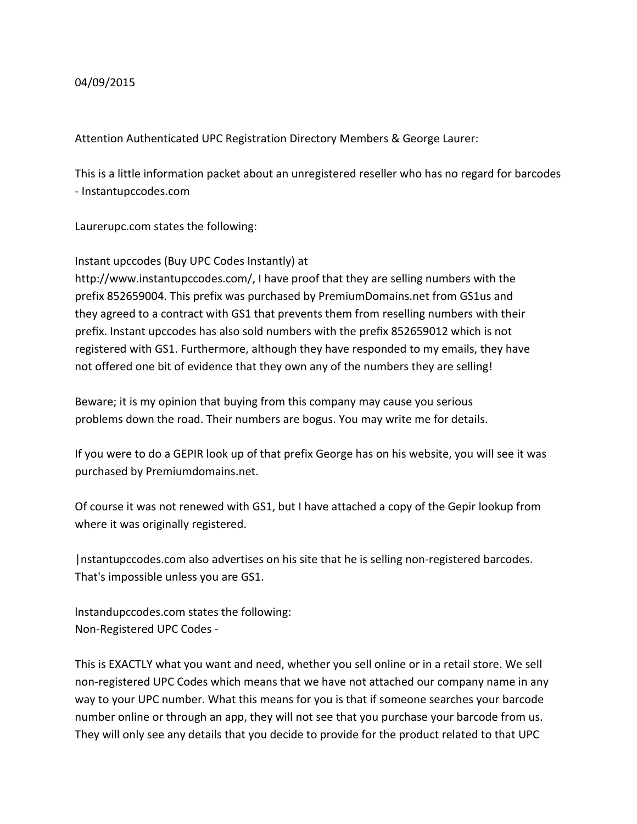## 04/09/2015

Attention Authenticated UPC Registration Directory Members & George Laurer:

This is a little information packet about an unregistered reseller who has no regard for barcodes - Instantupccodes.com

Laurerupc.com states the following:

Instant upccodes (Buy UPC Codes Instantly) at

http://www.instantupccodes.com/, I have proof that they are selling numbers with the prefix 852659004. This prefix was purchased by PremiumDomains.net from GS1us and they agreed to a contract with GS1 that prevents them from reselling numbers with their prefix. Instant upccodes has also sold numbers with the prefix 852659012 which is not registered with GS1. Furthermore, although they have responded to my emails, they have not offered one bit of evidence that they own any of the numbers they are selling!

Beware; it is my opinion that buying from this company may cause you serious problems down the road. Their numbers are bogus. You may write me for details.

If you were to do a GEPIR look up of that prefix George has on his website, you will see it was purchased by Premiumdomains.net.

Of course it was not renewed with GS1, but I have attached a copy of the Gepir lookup from where it was originally registered.

|nstantupccodes.com also advertises on his site that he is selling non-registered barcodes. That's impossible unless you are GS1.

lnstandupccodes.com states the following: Non-Registered UPC Codes -

This is EXACTLY what you want and need, whether you sell online or in a retail store. We sell non-registered UPC Codes which means that we have not attached our company name in any way to your UPC number. What this means for you is that if someone searches your barcode number online or through an app, they will not see that you purchase your barcode from us. They will only see any details that you decide to provide for the product related to that UPC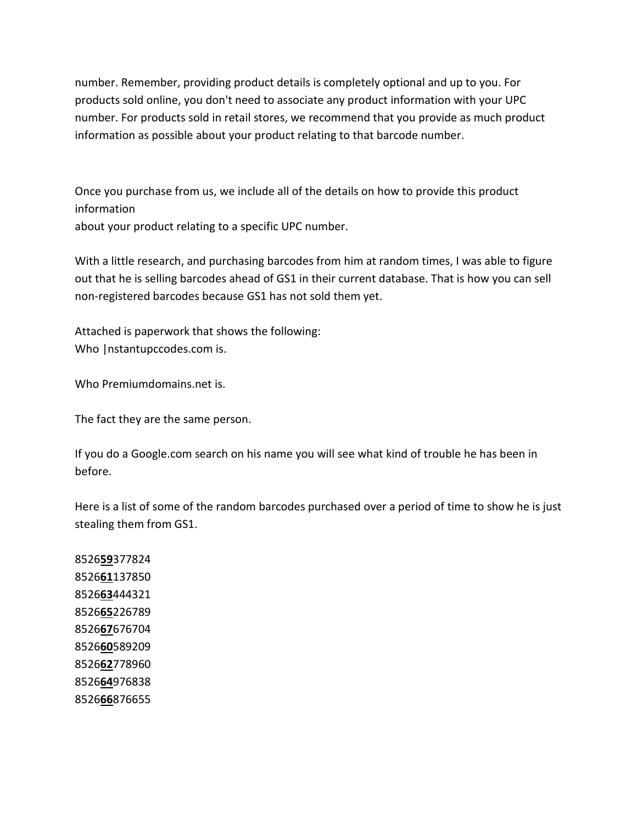number. Remember, providing product details is completely optional and up to you. For products sold online, you don't need to associate any product information with your UPC number. For products sold in retail stores, we recommend that you provide as much product information as possible about your product relating to that barcode number.

Once you purchase from us, we include all of the details on how to provide this product information about your product relating to a specific UPC number.

With a little research, and purchasing barcodes from him at random times, I was able to figure out that he is selling barcodes ahead of GS1 in their current database. That is how you can sell non-registered barcodes because GS1 has not sold them yet.

Attached is paperwork that shows the following: Who | nstantupccodes.com is.

Who Premiumdomains.net is.

The fact they are the same person.

If you do a Google.com search on his name you will see what kind of trouble he has been in before.

Here is a list of some of the random barcodes purchased over a period of time to show he is just stealing them from GS1.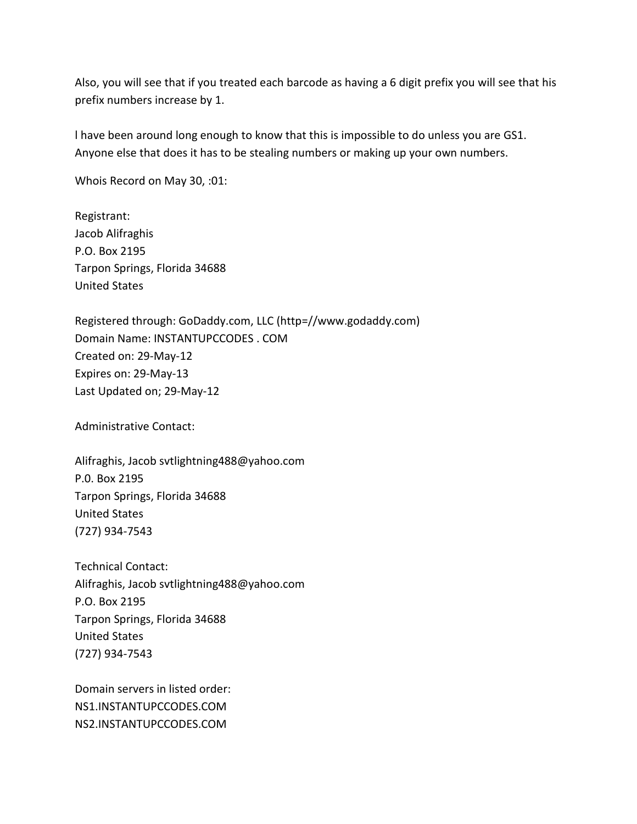Also, you will see that if you treated each barcode as having a 6 digit prefix you will see that his prefix numbers increase by 1.

l have been around long enough to know that this is impossible to do unless you are GS1. Anyone else that does it has to be stealing numbers or making up your own numbers.

Whois Record on May 30, :01:

Registrant: Jacob Alifraghis P.O. Box 2195 Tarpon Springs, Florida 34688 United States

Registered through: GoDaddy.com, LLC (http=//www.godaddy.com) Domain Name: INSTANTUPCCODES . COM Created on: 29-May-12 Expires on: 29-May-13 Last Updated on; 29-May-12

Administrative Contact:

Alifraghis, Jacob svtlightning488@yahoo.com P.0. Box 2195 Tarpon Springs, Florida 34688 United States (727) 934-7543

Technical Contact: Alifraghis, Jacob svtlightning488@yahoo.com P.O. Box 2195 Tarpon Springs, Florida 34688 United States (727) 934-7543

Domain servers in listed order: NS1.INSTANTUPCCODES.COM NS2.INSTANTUPCCODES.COM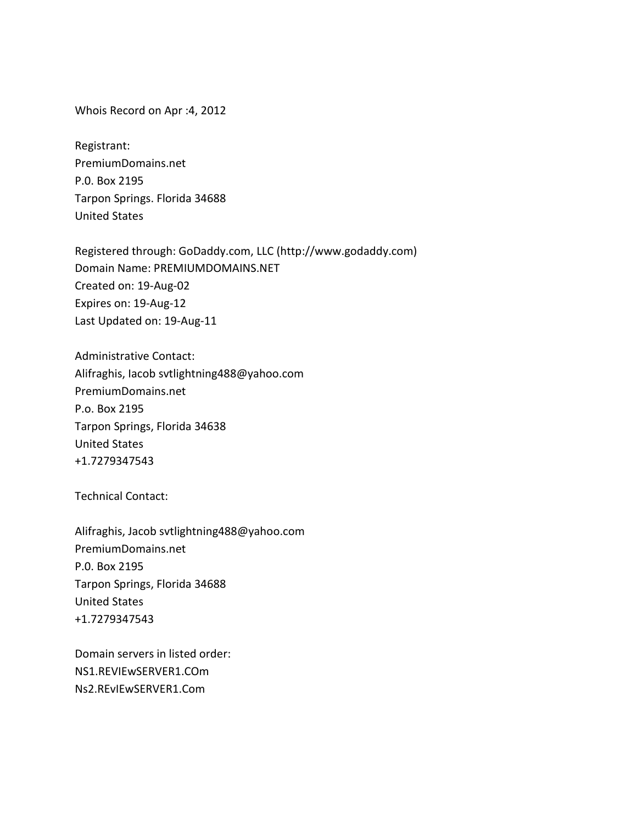Whois Record on Apr :4, 2012

Registrant: PremiumDomains.net P.0. Box 2195 Tarpon Springs. Florida 34688 United States

Registered through: GoDaddy.com, LLC (http://www.godaddy.com) Domain Name: PREMIUMDOMAINS.NET Created on: 19-Aug-02 Expires on: 19-Aug-12 Last Updated on: 19-Aug-11

Administrative Contact: Alifraghis, Iacob svtlightning488@yahoo.com PremiumDomains.net P.o. Box 2195 Tarpon Springs, Florida 34638 United States +1.7279347543

Technical Contact:

Alifraghis, Jacob svtlightning488@yahoo.com PremiumDomains.net P.0. Box 2195 Tarpon Springs, Florida 34688 United States +1.7279347543

Domain servers in listed order: NS1.REVIEwSERVER1.COm Ns2.REvIEwSERVER1.Com